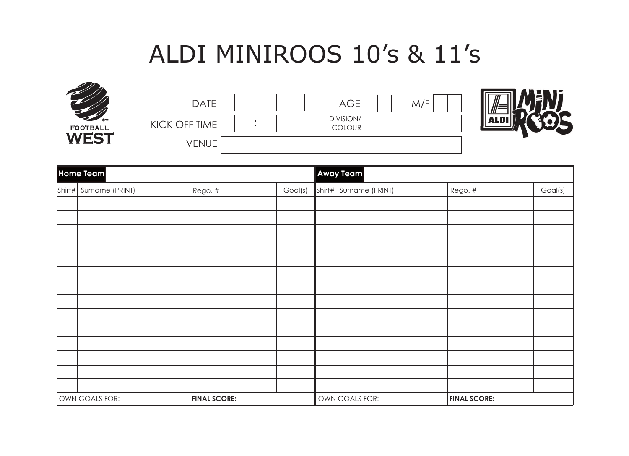## ALDI MINIROOS 10's & 11's



| <b>DATE</b>   | <b>AGE</b>                 | M/F |      |
|---------------|----------------------------|-----|------|
| KICK OFF TIME | DIVISION/<br><b>COLOUR</b> |     | ALDI |
| VENUE         |                            |     |      |

| Home Team |                        |                     | <b>Away Team</b> |        |                 |                     |         |
|-----------|------------------------|---------------------|------------------|--------|-----------------|---------------------|---------|
|           | Shirt# Surname (PRINT) | Rego. #             | Goal(s)          | Shirt# | Surname (PRINT) | Rego. #             | Goal(s) |
|           |                        |                     |                  |        |                 |                     |         |
|           |                        |                     |                  |        |                 |                     |         |
|           |                        |                     |                  |        |                 |                     |         |
|           |                        |                     |                  |        |                 |                     |         |
|           |                        |                     |                  |        |                 |                     |         |
|           |                        |                     |                  |        |                 |                     |         |
|           |                        |                     |                  |        |                 |                     |         |
|           |                        |                     |                  |        |                 |                     |         |
|           |                        |                     |                  |        |                 |                     |         |
|           |                        |                     |                  |        |                 |                     |         |
|           |                        |                     |                  |        |                 |                     |         |
|           |                        |                     |                  |        |                 |                     |         |
|           |                        |                     |                  |        |                 |                     |         |
|           |                        |                     |                  |        |                 |                     |         |
|           | OWN GOALS FOR:         | <b>FINAL SCORE:</b> |                  |        | OWN GOALS FOR:  | <b>FINAL SCORE:</b> |         |